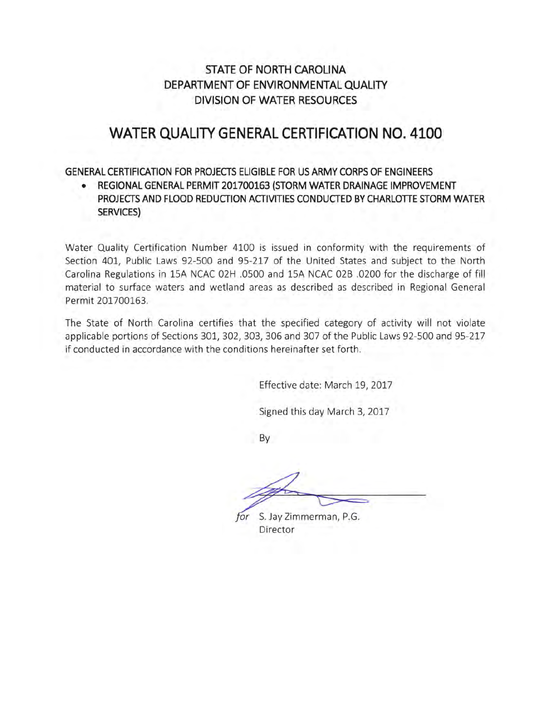#### **STATE OF NORTH CAROLINA**  DEPARTMENT OF ENVIRONMENTAL QUALITY **DIVISION OF WATER RESOURCES**

### **WATER QUALITY GENERAL CERTIFICATION NO. 4100**

#### **GENERAL CERTIFICATION FOR PROJECTS ELIGIBLE FOR US ARMY CORPS OF ENGINEERS**

• **REGIONAL GENERAL PERMIT 201700163 (STORM WATER DRAINAGE IMPROVEMENT PROJECTS AND FLOOD REDUCTION ACTIVITIES CONDUCTED BY CHARLOTTE STORM WATER SERVICES)** 

Water Quality Certification Number 4100 is issued in conformity with the requirements of Section 401, Public Laws 92-500 and 95-217 of the United States and subject to the North Carolina Regulations in 15A NCAC 02H .0500 and 15A NCAC 02B .0200 for the discharge of fill material to surface waters and wetland areas as described as described in Regional General Permit 201700163.

The State of North Carolina certifies that the specified category of activity will not violate applicable portions of Sections 301, 302, 303, 306 and 307 of the Public Laws 92-500 and 95-217 if conducted in accordance with the conditions hereinafter set forth.

Effective date: March 19, 2017

Signed this day March 3, 2017

By

for S. Jay Zimmerman, P.G. Director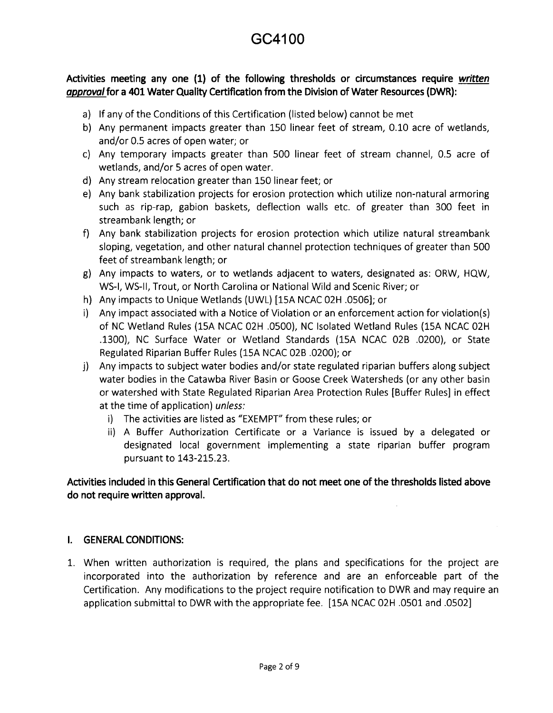**Activities meeting any one (1) of the following thresholds or circumstances require written**  *approval* **for a 401 Water Quality Certification from the Division of Water Resources (DWR):** 

- a} If any of the Conditions of this Certification (listed below} cannot be met
- b} Any permanent impacts greater than 150 linear feet of stream, 0.10 acre of wetlands, and/or 0.5 acres of open water; or
- c} Any temporary impacts greater than 500 linear feet of stream channel, 0.5 acre of wetlands, and/or 5 acres of open water.
- d} Any stream relocation greater than 150 linear feet; or
- e} Any bank stabilization projects for erosion protection which utilize non-natural armoring such as rip-rap, gabion baskets, deflection walls etc. of greater than 300 feet in streambank length; or
- f} Any bank stabilization projects for erosion protection which utilize natural streambank sloping, vegetation, and other natural channel protection techniques of greater than 500 feet of streambank length; or
- g} Any impacts to waters, or to wetlands adjacent to waters, designated as: ORW, HQW, WS-1, WS-11, Trout, or North Carolina or National Wild and Scenic River; or
- h} Any impacts to Unique Wetlands (UWL} [15A NCAC 02H .0506]; or
- i} Any impact associated with a Notice of Violation or an enforcement action for violation(s} of NC Wetland Rules (15A NCAC 02H .0500}, NC Isolated Wetland Rules (15A NCAC 02H .1300}, NC Surface Water or Wetland Standards (15A NCAC 02B .0200}, or State Regulated Riparian Buffer Rules (15A NCAC 02B .0200}; or
- j} Any impacts to subject water bodies and/or state regulated riparian buffers along subject water bodies in the Catawba River Basin or Goose Creek Watersheds (or any other basin or watershed with State Regulated Riparian Area Protection Rules [Buffer Rules] in effect at the time of application) unless:
	- i} The activities are listed as "EXEMPT" from these rules; or
	- ii} A Buffer Authorization Certificate or a Variance is issued by a delegated or designated local government implementing a state riparian buffer program pursuant to 143-215.23.

**Activities included in this General Certification that do not meet one of the thresholds listed above do not require written approval.** 

#### I. **GENERAL CONDITIONS:**

1. When written authorization is required, the plans and specifications for the project are incorporated into the authorization by reference and are an enforceable part of the Certification. Any modifications to the project require notification to DWR and may require an application submittal to DWR with the appropriate fee. [15A NCAC 02H .0501 and .0502]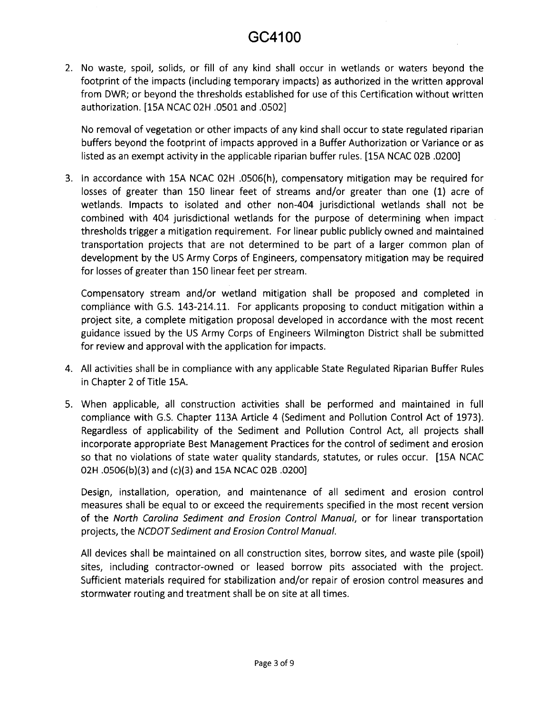2. No waste, spoil, solids, or fill of any kind shall occur in wetlands or waters beyond the footprint of the impacts (including temporary impacts} as authorized in the written approval from DWR; or beyond the thresholds established for use of this Certification without written authorization. [15A NCAC 02H .0501 and .0502]

No removal of vegetation or other impacts of any kind shall occur to state regulated riparian buffers beyond the footprint of impacts approved in a Buffer Authorization or Variance or as listed as an exempt activity in the applicable riparian buffer rules. [15A NCAC 02B .0200]

3. In accordance with 15A NCAC 02H .0506(h}, compensatory mitigation may be required for losses of greater than 150 linear feet of streams and/or greater than one (1) acre of wetlands. Impacts to isolated and other non-404 jurisdictional wetlands shall not be combined with 404 jurisdictional wetlands for the purpose of determining when impact thresholds trigger a mitigation requirement. For linear public publicly owned and maintained transportation projects that are not determined to be part of a larger common plan of development by the US Army Corps of Engineers, compensatory mitigation may be required for losses of greater than 150 linear feet per stream.

Compensatory stream and/or wetland mitigation shall be proposed and completed in compliance with G.S. 143-214.11. For applicants proposing to conduct mitigation within a project site, a complete mitigation proposal developed in accordance with the most recent guidance issued by the US Army Corps of Engineers Wilmington District shall be submitted for review and approval with the application for impacts.

- 4. All activities shall be in compliance with any applicable State Regulated Riparian Buffer Rules in Chapter 2 of Title 15A.
- 5. When applicable, all construction activities shall be performed and maintained in full compliance with G.S. Chapter 113A Article 4 (Sediment and Pollution Control Act of 1973}. Regardless of applicability of the Sediment and Pollution Control Act, all projects shall incorporate appropriate Best Management Practices for the control of sediment and erosion so that no violations of state water quality standards, statutes, or rules occur. [15A NCAC 02H .0506(b)(3) and (c)(3) and lSA NCAC 02B .0200]

Design, installation, operation, and maintenance of all sediment and erosion control measures shall be equal to or exceed the requirements specified in the most recent version of the North Carolina Sediment and Erosion Control Manual, or for linear transportation projects, the NCDOT Sediment and Erosion Control Manual.

All devices shall be maintained on all construction sites, borrow sites, and waste pile (spoil} sites, including contractor-owned or leased borrow pits associated with the project. Sufficient materials required for stabilization and/or repair of erosion control measures and stormwater routing and treatment shall be on site at all times.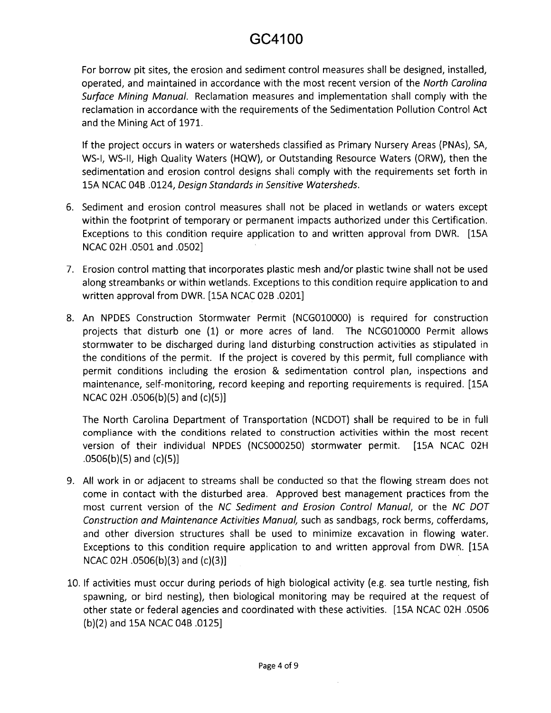For borrow pit sites, the erosion and sediment control measures shall be designed, installed, operated, and maintained in accordance with the most recent version of the North Carolina Surface Mining Manual. Reclamation measures and implementation shall comply with the reclamation in accordance with the requirements of the Sedimentation Pollution Control Act and the Mining Act of 1971.

If the project occurs in waters or watersheds classified as Primary Nursery Areas (PNAs}, SA, WS-I, WS-II, High Quality Waters (HQW), or Outstanding Resource Waters (ORW), then the sedimentation and erosion control designs shall comply with the requirements set forth in 15A NCAC 048 .0124, Design Standards in Sensitive Watersheds.

- 6. Sediment and erosion control measures shall not be placed in wetlands or waters except within the footprint of temporary or permanent impacts authorized under this Certification. Exceptions to this condition require application to and written approval from DWR. [15A NCAC 02H .0501 and .0502]
- 7. Erosion control matting that incorporates plastic mesh and/or plastic twine shall not be used along streambanks or within wetlands. Exceptions to this condition require application to and written approval from DWR. [15A NCAC 028 .0201]
- 8. An NPDES Construction Stormwater Permit (NCGOlOOOO) is required for construction projects that disturb one (1) or more acres of land. The NCGOlOOOO Permit allows stormwater to be discharged during land disturbing construction activities as stipulated in the conditions of the permit. If the project is covered by this permit, full compliance with permit conditions including the erosion & sedimentation control plan, inspections and maintenance, self-monitoring, record keeping and reporting requirements is required. [15A NCAC 02H .0506(b)(5) and (c)(5)]

The North Carolina Department of Transportation (NCDOT) shall be required to be in full compliance with the conditions related to construction activities within the most recent version of their individual NPDES (NCS000250) stormwater permit. [15A NCAC 02H .0506(b)(5) and (c)(5)]

- 9. All work in or adjacent to streams shall be conducted so that the flowing stream does not come in contact with the disturbed area. Approved best management practices from the most current version of the NC Sediment and Erosion Control Manual, or the NC DOT Construction and Maintenance Activities Manual, such as sandbags, rock berms, cofferdams, and other diversion structures shall be used to minimize excavation in flowing water. Exceptions to this condition require application to and written approval from DWR. [15A NCAC 02H .0506(b)(3} and (c)(3)]
- 10. If activities must occur during periods of high biological activity (e.g. sea turtle nesting, fish spawning, or bird nesting}, then biological monitoring may be required at the request of other state or federal agencies and coordinated with these activities. [15A NCAC 02H .0506 (b)(2) and 15A NCAC 048 .0125]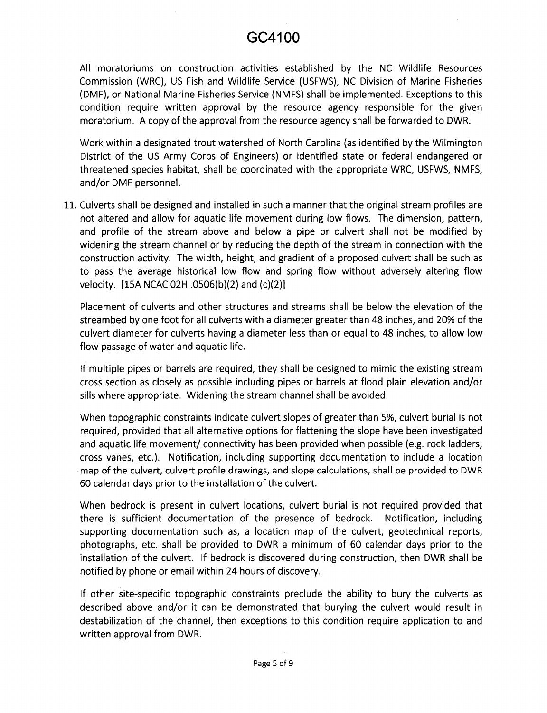All moratoriums on construction activities established by the NC Wildlife Resources Commission {WRC), US Fish and Wildlife Service {USFWS), NC Division of Marine Fisheries {DMF), or National Marine Fisheries Service {NMFS) shall be implemented. Exceptions to this condition require written approval by the resource agency responsible for the given moratorium. A copy of the approval from the resource agency shall be forwarded to DWR.

Work within a designated trout watershed of North Carolina {as identified by the Wilmington District of the US Army Corps of Engineers) or identified state or federal endangered or threatened species habitat, shall be coordinated with the appropriate WRC, USFWS, NMFS, and/or DMF personnel.

11. Culverts shall be designed and installed in such a manner that the original stream profiles are not altered and allow for aquatic life movement during low flows. The dimension, pattern, and profile of the stream above and below a pipe or culvert shall not be modified by widening the stream channel or by reducing the depth of the stream in connection with the construction activity. The width, height, and gradient of a proposed culvert shall be such as to pass the average historical low flow and spring flow without adversely altering flow velocity. [lSA NCAC 02H .0506{b){2) and {c){2)]

Placement of culverts and other structures and streams shall be below the elevation of the stream bed by one foot for all culverts with a diameter greater than 48 inches, and 20% of the culvert diameter for culverts having a diameter less than or equal to 48 inches, to allow low flow passage of water and aquatic life.

If multiple pipes or barrels are required, they shall be designed to mimic the existing stream cross section as closely as possible including pipes or barrels at flood plain elevation and/or sills where appropriate. Widening the stream channel shall be avoided.

When topographic constraints indicate culvert slopes of greater than 5%, culvert burial is not required, provided that all alternative options for flattening the slope have been investigated and aquatic life movement/ connectivity has been provided when possible {e.g. rock ladders, cross vanes, etc.). Notification, including supporting documentation to include a location map of the culvert, culvert profile drawings, and slope calculations, shall be provided to DWR 60 calendar days prior to the installation of the culvert.

When bedrock is present in culvert locations, culvert burial is not required provided that there is sufficient documentation of the presence of bedrock. Notification, including supporting documentation such as, a location map of the culvert, geotechnical reports, photographs, etc. shall be provided to DWR a minimum of 60 calendar days prior to the installation of the culvert. If bedrock is discovered during construction, then DWR shall be notified by phone or email within 24 hours of discovery.

If other site-specific topographic constraints preclude the ability to bury the culverts as described above and/or it can be demonstrated that burying the culvert would result in destabilization of the channel, then exceptions to this condition require application to and written approval from DWR.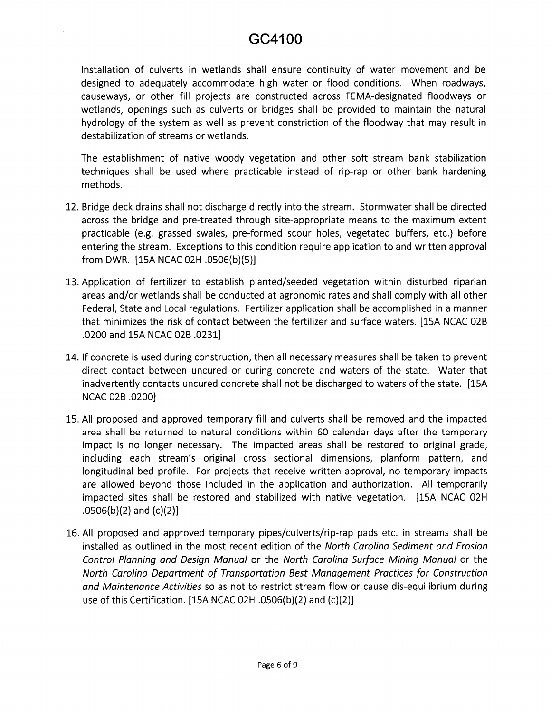Installation of culverts in wetlands shall ensure continuity of water movement and be designed to adequately accommodate high water or flood conditions. When roadways, causeways, or other fill projects are constructed across FEMA-designated floodways or wetlands, openings such as culverts or bridges shall be provided to maintain the natural hydrology of the system as well as prevent constriction of the floodway that may result in destabilization of streams or wetlands.

The establishment of native woody vegetation and other soft stream bank stabilization techniques shall be used where practicable instead of rip-rap or other bank hardening methods.

- 12. Bridge deck drains shall not discharge directly into the stream. Stormwater shall be directed across the bridge and pre-treated through site-appropriate means to the maximum extent practicable (e.g. grassed swales, pre-formed scour holes, vegetated buffers, etc.) before entering the stream. Exceptions to this condition require application to and written approval from DWR. [lSA NCAC 02H .0506(b)(S}]
- 13. Application of fertilizer to establish planted/seeded vegetation within disturbed riparian areas and/or wetlands shall be conducted at agronomic rates and shall comply with all other Federal, State and Local regulations. Fertilizer application shall be accomplished in a manner that minimizes the risk of contact between the fertilizer and surface waters. [15A NCAC 02B .0200 and lSA NCAC 028 .0231]
- 14. If concrete is used during construction, then all necessary measures shall be taken to prevent direct contact between uncured or curing concrete and waters of the state. Water that inadvertently contacts uncured concrete shall not be discharged to waters of the state. [15A] NCAC 028 .0200]
- 15. All proposed and approved temporary fill and culverts shall be removed and the impacted area shall be returned to natural conditions within 60 calendar days after the temporary impact is no longer necessary. The impacted areas shall be restored to original grade, including each stream's original cross sectional dimensions, planform pattern, and longitudinal bed profile. For projects that receive written approval, no temporary impacts are allowed beyond those included in the application and authorization. All temporarily impacted sites shall be restored and stabilized with native vegetation. [15A NCAC 02H  $.0506(b)(2)$  and  $(c)(2)]$
- 16. All proposed and approved temporary pipes/culverts/rip-rap pads etc. in streams shall be installed as outlined in the most recent edition of the North Carolina Sediment and Erosion Control Planning and Design Manual or the North Carolina Surface Mining Manual or the North Carolina Department of Transportation Best Management Practices for Construction and Maintenance Activities so as not to restrict stream flow or cause dis-equilibrium during use of this Certification. [lSA NCAC 02H .0506(b)(2) and (c)(2)]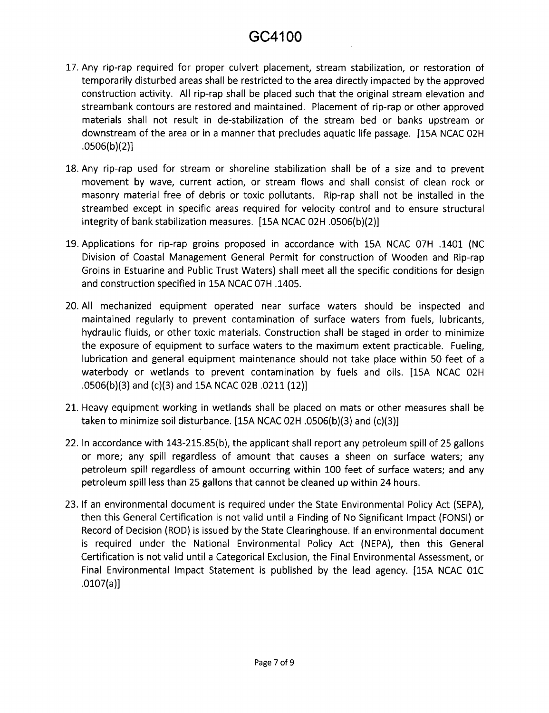- 17. Any rip-rap required for proper culvert placement, stream stabilization, or restoration of temporarily disturbed areas shall be restricted to the area directly impacted by the approved construction activity. All rip-rap shall be placed such that the original stream elevation and streambank contours are restored and maintained. Placement of rip-rap or other approved materials shall not result in de-stabilization of the stream bed or banks upstream or downstream of the area or in a manner that precludes aquatic life passage. [15A NCAC 02H .0506(b)(2)]
- 18. Any rip-rap used for stream or shoreline stabilization shall be of a size and to prevent movement by wave, current action, or stream flows and shall consist of clean rock or masonry material free of debris or toxic pollutants. Rip-rap shall not be installed in the streambed except in specific areas required for velocity control and to ensure structural integrity of bank stabilization measures. [15A NCAC 02H .0506(b)(2)]
- 19. Applications for rip-rap groins proposed in accordance with 15A NCAC 07H .1401 (NC Division of Coastal Management General Permit for construction of Wooden and Rip-rap Groins in Estuarine and Public Trust Waters) shall meet all the specific conditions for design and construction specified in 15A NCAC 07H .1405.
- 20. All mechanized equipment operated near surface waters should be inspected and maintained regularly to prevent contamination of surface waters from fuels, lubricants, hydraulic fluids, or other toxic materials. Construction shall be staged in order to minimize the exposure of equipment to surface waters to the maximum extent practicable. Fueling, lubrication and general equipment maintenance should not take place within 50 feet of a waterbody or wetlands to prevent contamination by fuels and oils. [15A NCAC 02H .0506(b)(3) and (c)(3) and 15A NCAC 02B .0211 (12)]
- 21. Heavy equipment working in wetlands shall be placed on mats or other measures shall be taken to minimize soil disturbance. [15A NCAC 02H .0506(b)(3) and (c)(3)]
- 22. In accordance with 143-215.85(b), the applicant shall report any petroleum spill of 25 gallons or more; any spill regardless of amount that causes a sheen on surface waters; any petroleum spill regardless of amount occurring within 100 feet of surface waters; and any petroleum spill less than 25 gallons that cannot be cleaned up within 24 hours.
- 23. If an environmental document is required under the State Environmental Policy Act (SEPA), then this General Certification is not valid until a Finding of No Significant Impact (FONSI) or Record of Decision (ROD) is issued by the State Clearinghouse. If an environmental document is required under the National Environmental Policy Act (NEPA), then this General Certification is not valid until a Categorical Exclusion, the Final Environmental Assessment, or Final Environmental Impact Statement is published by the lead agency. [15A NCAC OlC .0107(a)]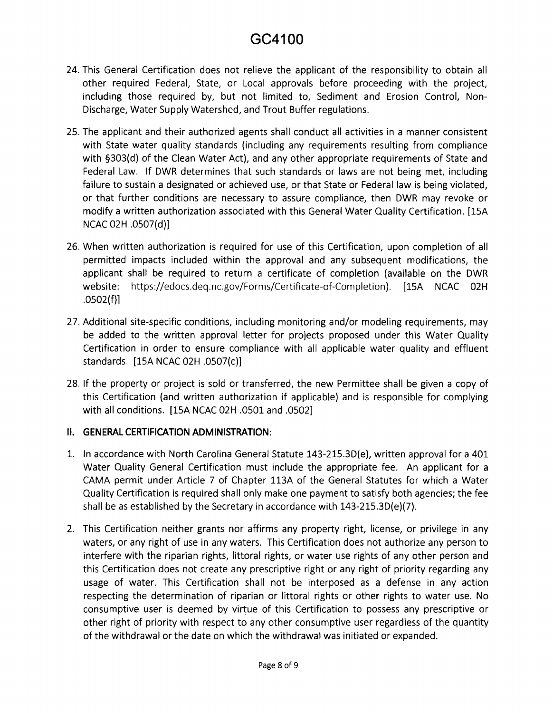- 24. This General Certification does not relieve the applicant of the responsibility to obtain all other required Federal, State, or Local approvals before proceeding with the project, including those required by, but not limited to, Sediment and Erosion Control, Non-Discharge, Water Supply Watershed, and Trout Buffer regulations.
- 25. The applicant and their authorized agents shall conduct all activities in a manner consistent with State water quality standards (including any requirements resulting from compliance with §303(d) of the Clean Water Act), and any other appropriate requirements of State and Federal Law. If DWR determines that such standards or laws are not being met, including failure to sustain a designated or achieved use, or that State or Federal law is being violated, or that further conditions are necessary to assure compliance, then DWR may revoke or modify a written authorization associated with this General Water Quality Certification. [15A NCAC 02H .0507(d)]
- 26. When written authorization is required for use of this Certification, upon completion of all permitted impacts included within the approval and any subsequent modifications, the applicant shall be required to return a certificate of completion (available on the DWR website: https://edocs.deq.nc.gov/Forms/Certificate-of-Completion). [15A NCAC 02H .0502(f)]
- 27. Additional site-specific conditions, including monitoring and/or modeling requirements, may be added to the written approval letter for projects proposed under this Water Quality Certification in order to ensure compliance with all applicable water quality and effluent standards. [15A NCAC 02H .0507(c)]
- 28. If the property or project is sold or transferred, the new Permittee shall be given a copy of this Certification (and written authorization if applicable) and is responsible for complying with all conditions. [15A NCAC 02H .0501 and .0502]

#### II. **GENERAL CERTIFICATION ADMINISTRATION:**

- 1. In accordance with North Carolina General Statute 143-215.3D(e), written approval for a 401 Water Quality General Certification must include the appropriate fee. An applicant for a CAMA permit under Article 7 of Chapter 113A of the General Statutes for which a Water Quality Certification is required shall only make one payment to satisfy both agencies; the fee shall be as established by the Secretary in accordance with 143-215.3D(e)(7).
- 2. This Certification neither grants nor affirms any property right, license, or privilege in any waters, or any right of use in any waters. This Certification does not authorize any person to interfere with the riparian rights, littoral rights, or water use rights of any other person and this Certification does not create any prescriptive right or any right of priority regarding any usage of water. This Certification shall not be interposed as a defense in any action respecting the determination of riparian or littoral rights or other rights to water use. No consumptive user is deemed by virtue of this Certification to possess any prescriptive or other right of priority with respect to any other consumptive user regardless of the quantity of the withdrawal or the date on which the withdrawal was initiated or expanded.